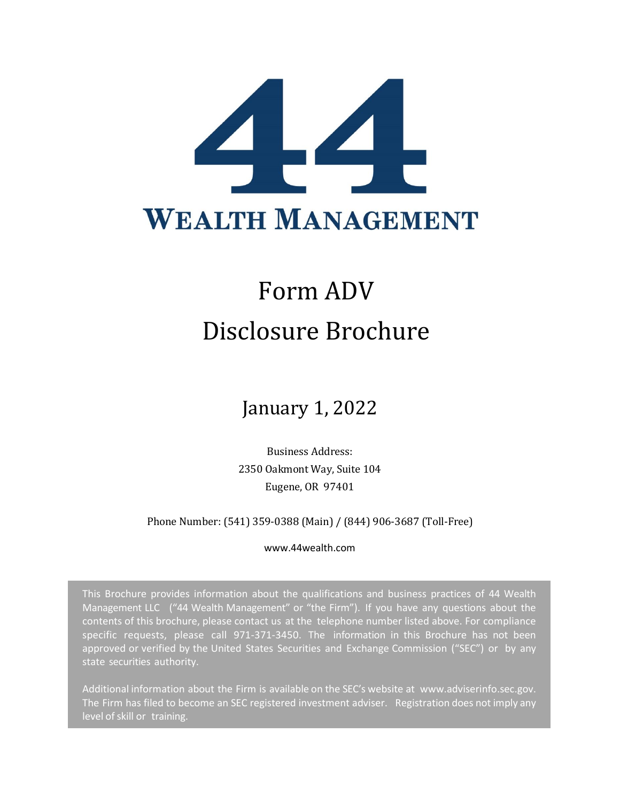

# Form ADV Disclosure Brochure

## January 1, 2022

Business Address: 2350 Oakmont Way, Suite 104 Eugene, OR 97401

#### Phone Number: (541) 359-0388 (Main) / (844) 906-3687 (Toll-Free)

#### www.44wealth.com

This Brochure provides information about the qualifications and business practices of 44 Wealth Management LLC ("44 Wealth Management" or "the Firm"). If you have any questions about the contents of this brochure, please contact us at the telephone number listed above. For compliance specific requests, please call 971-371-3450. The information in this Brochure has not been approved or verified by the United States Securities and Exchange Commission ("SEC") or by any state securities authority.

<span id="page-0-0"></span>Additional information about the Firm is available on the SEC's website at [www.adviserinfo.sec.gov.](http://www.adviserinfo.sec.gov/) The Firm has filed to become an SEC registered investment adviser. Registration does not imply any level of skill or training.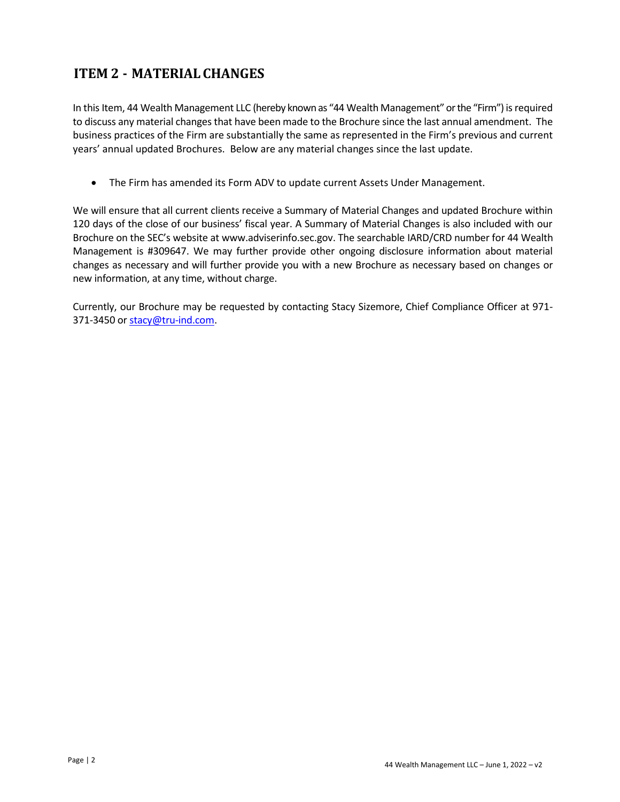## **ITEM 2 - MATERIAL CHANGES**

In this Item, 44 Wealth Management LLC (hereby known as "44 Wealth Management" or the "Firm") is required to discuss any material changes that have been made to the Brochure since the last annual amendment. The business practices of the Firm are substantially the same as represented in the Firm's previous and current years' annual updated Brochures. Below are any material changes since the last update.

• The Firm has amended its Form ADV to update current Assets Under Management.

We will ensure that all current clients receive a Summary of Material Changes and updated Brochure within 120 days of the close of our business' fiscal year. A Summary of Material Changes is also included with our Brochure on the SEC's website at www.adviserinfo.sec.gov. The searchable IARD/CRD number for 44 Wealth Management is #309647. We may further provide other ongoing disclosure information about material changes as necessary and will further provide you with a new Brochure as necessary based on changes or new information, at any time, without charge.

Currently, our Brochure may be requested by contacting Stacy Sizemore, Chief Compliance Officer at 971- 371-3450 or [stacy@tru-ind.com.](mailto:stacy@tru-ind.com)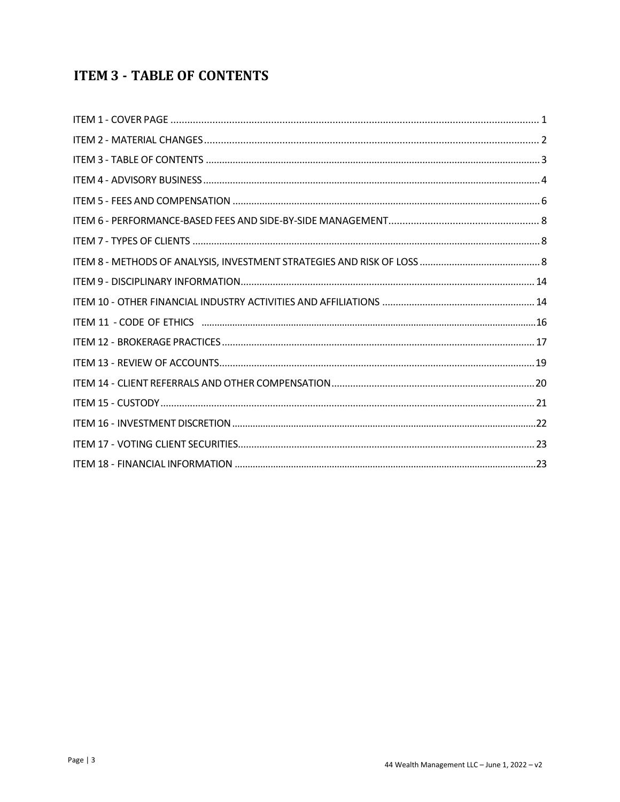## <span id="page-2-0"></span>**ITEM 3 - TABLE OF CONTENTS**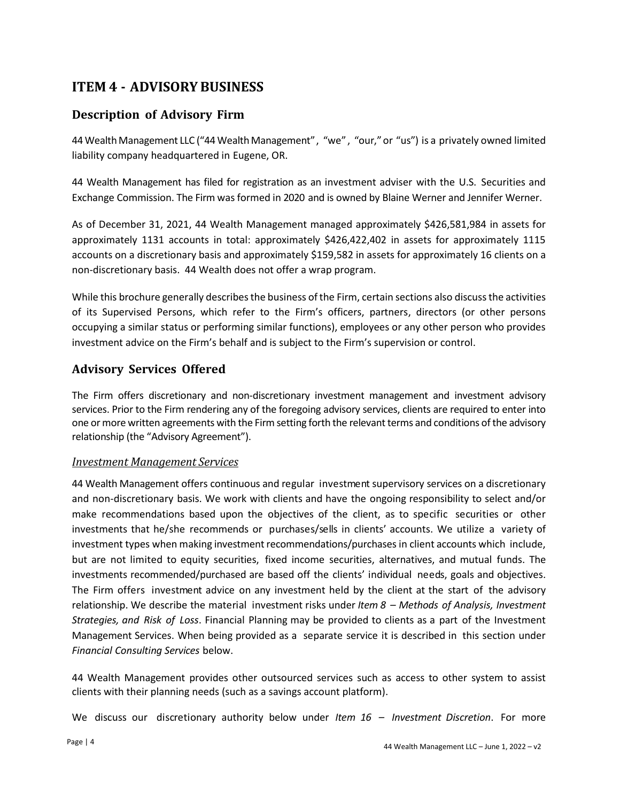## <span id="page-3-0"></span>**ITEM 4 - ADVISORY BUSINESS**

#### **Description of Advisory Firm**

44 Wealth Management LLC ("44 Wealth Management", "we" , "our,"or "us") is a privately owned limited liability company headquartered in Eugene, OR.

44 Wealth Management has filed for registration as an investment adviser with the U.S. Securities and Exchange Commission. The Firm wasformed in 2020 and is owned by Blaine Werner and Jennifer Werner.

As of December 31, 2021, 44 Wealth Management managed approximately \$426,581,984 in assets for approximately 1131 accounts in total: approximately \$426,422,402 in assets for approximately 1115 accounts on a discretionary basis and approximately \$159,582 in assets for approximately 16 clients on a non-discretionary basis. 44 Wealth does not offer a wrap program.

While this brochure generally describes the business of the Firm, certain sections also discuss the activities of its Supervised Persons, which refer to the Firm's officers, partners, directors (or other persons occupying a similar status or performing similar functions), employees or any other person who provides investment advice on the Firm's behalf and is subject to the Firm's supervision or control.

#### **Advisory Services Offered**

The Firm offers discretionary and non-discretionary investment management and investment advisory services. Prior to the Firm rendering any of the foregoing advisory services, clients are required to enter into one or more written agreements with the Firm setting forth the relevant terms and conditions of the advisory relationship (the "Advisory Agreement").

#### *Investment Management Services*

44 Wealth Management offers continuous and regular investment supervisory services on a discretionary and non-discretionary basis. We work with clients and have the ongoing responsibility to select and/or make recommendations based upon the objectives of the client, as to specific securities or other investments that he/she recommends or purchases/sells in clients' accounts. We utilize a variety of investment types when making investment recommendations/purchasesin client accounts which include, but are not limited to equity securities, fixed income securities, alternatives, and mutual funds. The investments recommended/purchased are based off the clients' individual needs, goals and objectives. The Firm offers investment advice on any investment held by the client at the start of the advisory relationship. We describe the material investment risks under *Item 8 – Methods of Analysis, Investment Strategies, and Risk of Loss*. Financial Planning may be provided to clients as a part of the Investment Management Services. When being provided as a separate service it is described in this section under *Financial Consulting Services* below.

44 Wealth Management provides other outsourced services such as access to other system to assist clients with their planning needs (such as a savings account platform).

We discuss our discretionary authority below under *Item 16 – Investment Discretion*. For more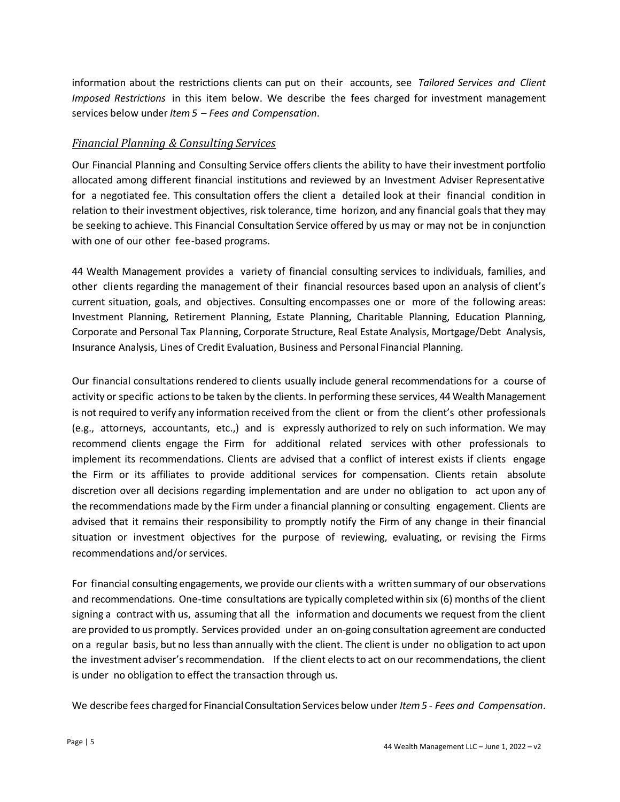information about the restrictions clients can put on their accounts, see *Tailored Services and Client Imposed Restrictions* in this item below. We describe the fees charged for investment management services below under *Item5 – Fees and Compensation*.

#### *Financial Planning & Consulting Services*

Our Financial Planning and Consulting Service offers clients the ability to have their investment portfolio allocated among different financial institutions and reviewed by an Investment Adviser Representative for a negotiated fee. This consultation offers the client a detailed look at their financial condition in relation to their investment objectives, risk tolerance, time horizon, and any financial goals that they may be seeking to achieve. This Financial Consultation Service offered by us may or may not be in conjunction with one of our other fee-based programs.

44 Wealth Management provides a variety of financial consulting services to individuals, families, and other clients regarding the management of their financial resources based upon an analysis of client's current situation, goals, and objectives. Consulting encompasses one or more of the following areas: Investment Planning, Retirement Planning, Estate Planning, Charitable Planning, Education Planning, Corporate and Personal Tax Planning, Corporate Structure, Real Estate Analysis, Mortgage/Debt Analysis, Insurance Analysis, Lines of Credit Evaluation, Business and Personal Financial Planning.

Our financial consultations rendered to clients usually include general recommendations for a course of activity or specific actions to be taken by the clients. In performing these services, 44 Wealth Management is not required to verify any information received from the client or from the client's other professionals (e.g., attorneys, accountants, etc.,) and is expressly authorized to rely on such information. We may recommend clients engage the Firm for additional related services with other professionals to implement its recommendations. Clients are advised that a conflict of interest exists if clients engage the Firm or its affiliates to provide additional services for compensation. Clients retain absolute discretion over all decisions regarding implementation and are under no obligation to act upon any of the recommendations made by the Firm under a financial planning or consulting engagement. Clients are advised that it remains their responsibility to promptly notify the Firm of any change in their financial situation or investment objectives for the purpose of reviewing, evaluating, or revising the Firms recommendations and/or services.

For financial consulting engagements, we provide our clients with a written summary of our observations and recommendations. One-time consultations are typically completed within six (6) months of the client signing a contract with us, assuming that all the information and documents we request from the client are provided to us promptly. Services provided under an on-going consultation agreement are conducted on a regular basis, but no less than annually with the client. The client is under no obligation to act upon the investment adviser's recommendation. If the client elects to act on our recommendations, the client is under no obligation to effect the transaction through us.

We describe fees charged for FinancialConsultation Services below under *Item5 - Fees and Compensation*.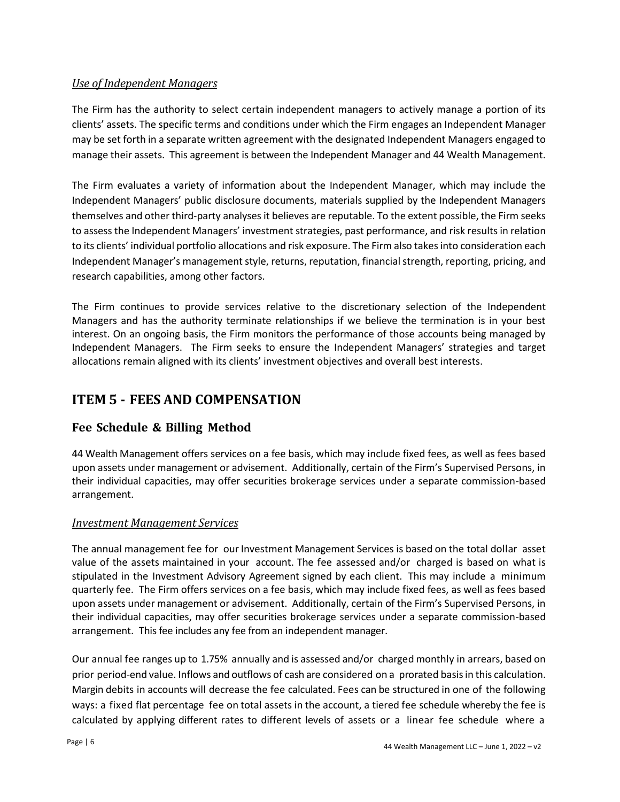#### *Use of Independent Managers*

The Firm has the authority to select certain independent managers to actively manage a portion of its clients' assets. The specific terms and conditions under which the Firm engages an Independent Manager may be set forth in a separate written agreement with the designated Independent Managers engaged to manage their assets. This agreement is between the Independent Manager and 44 Wealth Management.

The Firm evaluates a variety of information about the Independent Manager, which may include the Independent Managers' public disclosure documents, materials supplied by the Independent Managers themselves and other third-party analyses it believes are reputable. To the extent possible, the Firm seeks to assess the Independent Managers' investment strategies, past performance, and risk results in relation to its clients' individual portfolio allocations and risk exposure. The Firm also takes into consideration each Independent Manager's management style, returns, reputation, financial strength, reporting, pricing, and research capabilities, among other factors.

The Firm continues to provide services relative to the discretionary selection of the Independent Managers and has the authority terminate relationships if we believe the termination is in your best interest. On an ongoing basis, the Firm monitors the performance of those accounts being managed by Independent Managers. The Firm seeks to ensure the Independent Managers' strategies and target allocations remain aligned with its clients' investment objectives and overall best interests.

## <span id="page-5-0"></span>**ITEM 5 - FEES AND COMPENSATION**

#### **Fee Schedule & Billing Method**

44 Wealth Management offers services on a fee basis, which may include fixed fees, as well as fees based upon assets under management or advisement. Additionally, certain of the Firm's Supervised Persons, in their individual capacities, may offer securities brokerage services under a separate commission-based arrangement.

#### *Investment Management Services*

The annual management fee for our Investment Management Services is based on the total dollar asset value of the assets maintained in your account. The fee assessed and/or charged is based on what is stipulated in the Investment Advisory Agreement signed by each client. This may include a minimum quarterly fee. The Firm offers services on a fee basis, which may include fixed fees, as well as fees based upon assets under management or advisement. Additionally, certain of the Firm's Supervised Persons, in their individual capacities, may offer securities brokerage services under a separate commission-based arrangement. This fee includes any fee from an independent manager.

Our annual fee ranges up to 1.75% annually and is assessed and/or charged monthly in arrears, based on prior period-end value. Inflows and outflows of cash are considered on a prorated basisin this calculation. Margin debits in accounts will decrease the fee calculated. Fees can be structured in one of the following ways: a fixed flat percentage fee on total assets in the account, a tiered fee schedule whereby the fee is calculated by applying different rates to different levels of assets or a linear fee schedule where a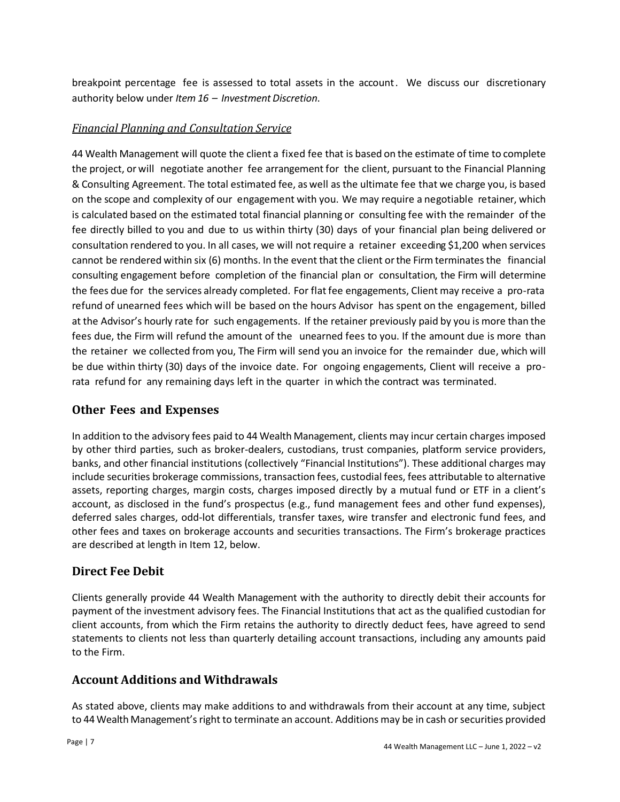breakpoint percentage fee is assessed to total assets in the account. We discuss our discretionary authority below under *Item 16 – Investment Discretion*.

#### *Financial Planning and Consultation Service*

44 Wealth Management will quote the client a fixed fee that is based on the estimate of time to complete the project, or will negotiate another fee arrangement for the client, pursuant to the Financial Planning & Consulting Agreement. The total estimated fee, as well asthe ultimate fee that we charge you, is based on the scope and complexity of our engagement with you. We may require a negotiable retainer, which is calculated based on the estimated total financial planning or consulting fee with the remainder of the fee directly billed to you and due to us within thirty (30) days of your financial plan being delivered or consultation rendered to you. In all cases, we will not require a retainer exceeding \$1,200 when services cannot be rendered within six (6) months. In the event that the client orthe Firm terminatesthe financial consulting engagement before completion of the financial plan or consultation, the Firm will determine the fees due for the services already completed. For flat fee engagements, Client may receive a pro-rata refund of unearned fees which will be based on the hours Advisor has spent on the engagement, billed at the Advisor's hourly rate for such engagements. If the retainer previously paid by you is more than the fees due, the Firm will refund the amount of the unearned fees to you. If the amount due is more than the retainer we collected from you, The Firm will send you an invoice for the remainder due, which will be due within thirty (30) days of the invoice date. For ongoing engagements, Client will receive a prorata refund for any remaining days left in the quarter in which the contract was terminated.

#### **Other Fees and Expenses**

In addition to the advisory fees paid to 44 Wealth Management, clients may incur certain charges imposed by other third parties, such as broker-dealers, custodians, trust companies, platform service providers, banks, and other financial institutions (collectively "Financial Institutions"). These additional charges may include securities brokerage commissions, transaction fees, custodial fees, fees attributable to alternative assets, reporting charges, margin costs, charges imposed directly by a mutual fund or ETF in a client's account, as disclosed in the fund's prospectus (e.g., fund management fees and other fund expenses), deferred sales charges, odd-lot differentials, transfer taxes, wire transfer and electronic fund fees, and other fees and taxes on brokerage accounts and securities transactions. The Firm's brokerage practices are described at length in Item 12, below.

#### **Direct Fee Debit**

Clients generally provide 44 Wealth Management with the authority to directly debit their accounts for payment of the investment advisory fees. The Financial Institutions that act as the qualified custodian for client accounts, from which the Firm retains the authority to directly deduct fees, have agreed to send statements to clients not less than quarterly detailing account transactions, including any amounts paid to the Firm.

#### **Account Additions and Withdrawals**

As stated above, clients may make additions to and withdrawals from their account at any time, subject to 44 Wealth Management'sright to terminate an account. Additions may be in cash or securities provided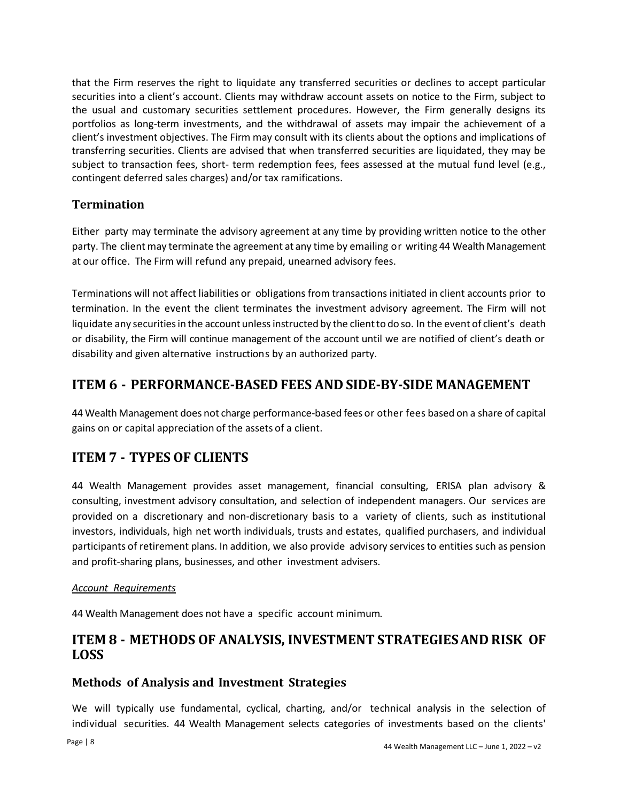that the Firm reserves the right to liquidate any transferred securities or declines to accept particular securities into a client's account. Clients may withdraw account assets on notice to the Firm, subject to the usual and customary securities settlement procedures. However, the Firm generally designs its portfolios as long-term investments, and the withdrawal of assets may impair the achievement of a client's investment objectives. The Firm may consult with its clients about the options and implications of transferring securities. Clients are advised that when transferred securities are liquidated, they may be subject to transaction fees, short- term redemption fees, fees assessed at the mutual fund level (e.g., contingent deferred sales charges) and/or tax ramifications.

#### **Termination**

Either party may terminate the advisory agreement at any time by providing written notice to the other party. The client may terminate the agreement at any time by emailing or writing 44 Wealth Management at our office. The Firm will refund any prepaid, unearned advisory fees.

Terminations will not affect liabilities or obligations from transactions initiated in client accounts prior to termination. In the event the client terminates the investment advisory agreement. The Firm will not liquidate any securities in the account unless instructed by the client to do so. In the event of client's death or disability, the Firm will continue management of the account until we are notified of client's death or disability and given alternative instructions by an authorized party.

## <span id="page-7-0"></span>**ITEM 6 - PERFORMANCE-BASED FEES AND SIDE-BY-SIDE MANAGEMENT**

<span id="page-7-1"></span>44 Wealth Management does not charge performance-based fees or other fees based on a share of capital gains on or capital appreciation of the assets of a client.

## **ITEM 7 - TYPES OF CLIENTS**

44 Wealth Management provides asset management, financial consulting, ERISA plan advisory & consulting, investment advisory consultation, and selection of independent managers. Our services are provided on a discretionary and non-discretionary basis to a variety of clients, such as institutional investors, individuals, high net worth individuals, trusts and estates, qualified purchasers, and individual participants of retirement plans. In addition, we also provide advisory services to entities such as pension and profit-sharing plans, businesses, and other investment advisers.

#### *Account Requirements*

44 Wealth Management does not have a specific account minimum.

## <span id="page-7-2"></span>**ITEM 8 - METHODS OF ANALYSIS, INVESTMENT STRATEGIESAND RISK OF LOSS**

#### **Methods of Analysis and Investment Strategies**

We will typically use fundamental, cyclical, charting, and/or technical analysis in the selection of individual securities. 44 Wealth Management selects categories of investments based on the clients'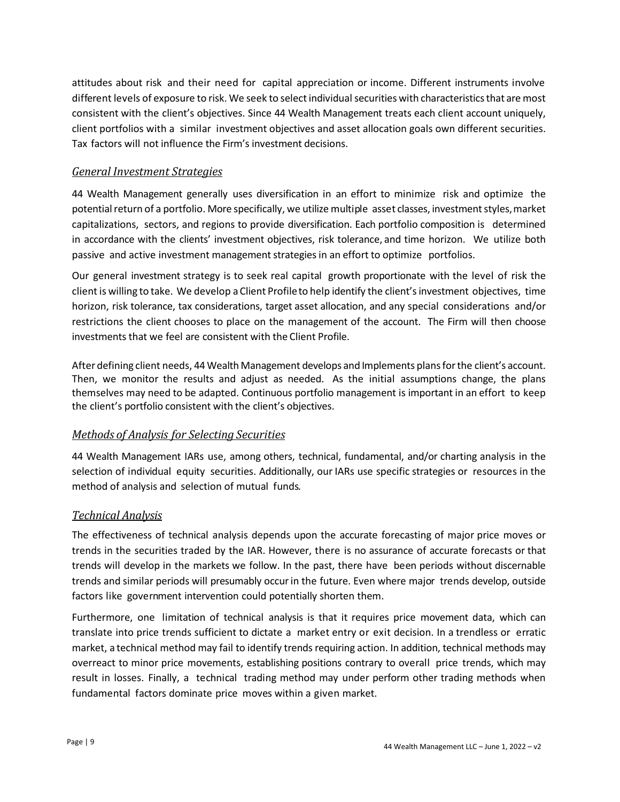attitudes about risk and their need for capital appreciation or income. Different instruments involve different levels of exposure to risk. We seek to select individual securities with characteristics that are most consistent with the client's objectives. Since 44 Wealth Management treats each client account uniquely, client portfolios with a similar investment objectives and asset allocation goals own different securities. Tax factors will not influence the Firm's investment decisions.

#### *General Investment Strategies*

44 Wealth Management generally uses diversification in an effort to minimize risk and optimize the potential return of a portfolio. More specifically, we utilize multiple asset classes, investment styles, market capitalizations, sectors, and regions to provide diversification. Each portfolio composition is determined in accordance with the clients' investment objectives, risk tolerance, and time horizon. We utilize both passive and active investment management strategies in an effort to optimize portfolios.

Our general investment strategy is to seek real capital growth proportionate with the level of risk the client is willing to take. We develop a Client Profileto help identify the client'sinvestment objectives, time horizon, risk tolerance, tax considerations, target asset allocation, and any special considerations and/or restrictions the client chooses to place on the management of the account. The Firm will then choose investments that we feel are consistent with the Client Profile.

After defining client needs, 44 Wealth Management develops and Implements plansforthe client's account. Then, we monitor the results and adjust as needed. As the initial assumptions change, the plans themselves may need to be adapted. Continuous portfolio management is important in an effort to keep the client's portfolio consistent with the client's objectives.

#### *Methods of Analysis for Selecting Securities*

44 Wealth Management IARs use, among others, technical, fundamental, and/or charting analysis in the selection of individual equity securities. Additionally, our IARs use specific strategies or resources in the method of analysis and selection of mutual funds.

#### *Technical Analysis*

The effectiveness of technical analysis depends upon the accurate forecasting of major price moves or trends in the securities traded by the IAR. However, there is no assurance of accurate forecasts or that trends will develop in the markets we follow. In the past, there have been periods without discernable trends and similar periods will presumably occur in the future. Even where major trends develop, outside factors like government intervention could potentially shorten them.

Furthermore, one limitation of technical analysis is that it requires price movement data, which can translate into price trends sufficient to dictate a market entry or exit decision. In a trendless or erratic market, a technical method may fail to identify trends requiring action. In addition, technical methods may overreact to minor price movements, establishing positions contrary to overall price trends, which may result in losses. Finally, a technical trading method may under perform other trading methods when fundamental factors dominate price moves within a given market.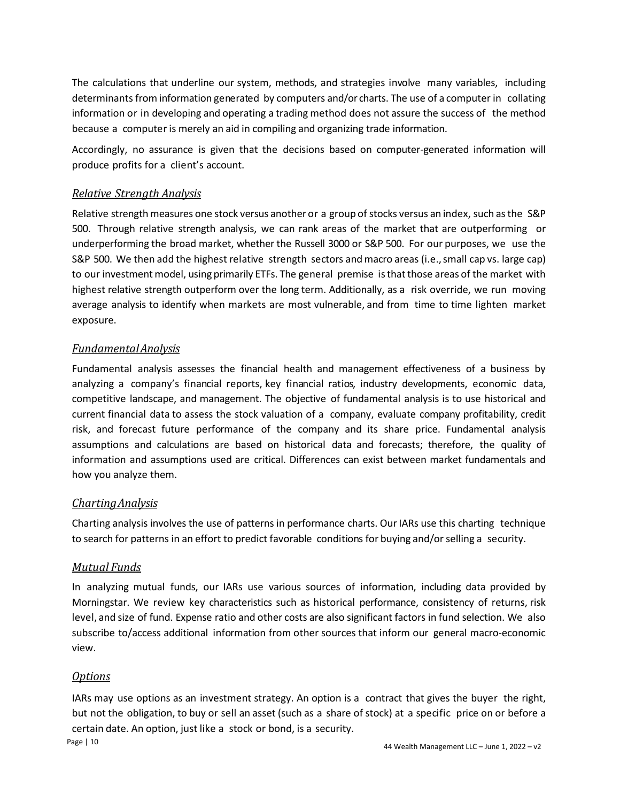The calculations that underline our system, methods, and strategies involve many variables, including determinants from information generated by computers and/or charts. The use of a computer in collating information or in developing and operating a trading method does not assure the success of the method because a computer is merely an aid in compiling and organizing trade information.

Accordingly, no assurance is given that the decisions based on computer-generated information will produce profits for a client's account.

#### *Relative Strength Analysis*

Relative strength measures one stock versus another or a group of stocks versus an index, such as the S&P 500. Through relative strength analysis, we can rank areas of the market that are outperforming or underperforming the broad market, whether the Russell 3000 or S&P 500. For our purposes, we use the S&P 500. We then add the highest relative strength sectors and macro areas (i.e., small cap vs. large cap) to our investment model, using primarily ETFs. The general premise is that those areas of the market with highest relative strength outperform over the long term. Additionally, as a risk override, we run moving average analysis to identify when markets are most vulnerable, and from time to time lighten market exposure.

#### *FundamentalAnalysis*

Fundamental analysis assesses the financial health and management effectiveness of a business by analyzing a company's financial reports, key financial ratios, industry developments, economic data, competitive landscape, and management. The objective of fundamental analysis is to use historical and current financial data to assess the stock valuation of a company, evaluate company profitability, credit risk, and forecast future performance of the company and its share price. Fundamental analysis assumptions and calculations are based on historical data and forecasts; therefore, the quality of information and assumptions used are critical. Differences can exist between market fundamentals and how you analyze them.

#### *ChartingAnalysis*

Charting analysis involves the use of patterns in performance charts. OurIARs use this charting technique to search for patterns in an effort to predict favorable conditions for buying and/orselling a security.

#### *Mutual Funds*

In analyzing mutual funds, our IARs use various sources of information, including data provided by Morningstar. We review key characteristics such as historical performance, consistency of returns, risk level, and size of fund. Expense ratio and other costs are also significant factors in fund selection. We also subscribe to/access additional information from other sources that inform our general macro-economic view.

#### *Options*

IARs may use options as an investment strategy. An option is a contract that gives the buyer the right, but not the obligation, to buy or sell an asset (such as a share of stock) at a specific price on or before a certain date. An option, just like a stock or bond, is a security.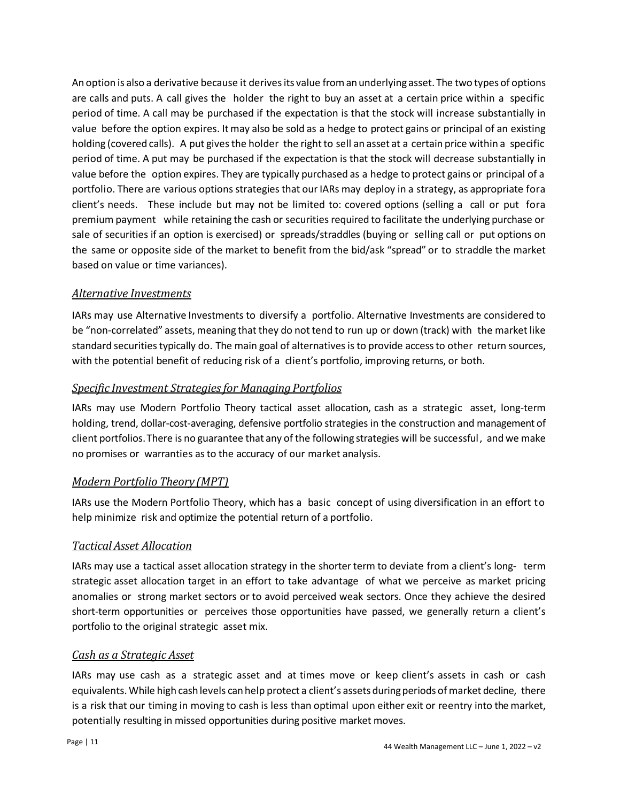An option is also a derivative because it derives its value from an underlying asset. The two types of options are calls and puts. A call gives the holder the right to buy an asset at a certain price within a specific period of time. A call may be purchased if the expectation is that the stock will increase substantially in value before the option expires. It may also be sold as a hedge to protect gains or principal of an existing holding (covered calls). A put gives the holder the right to sell an asset at a certain price within a specific period of time. A put may be purchased if the expectation is that the stock will decrease substantially in value before the option expires. They are typically purchased as a hedge to protect gains or principal of a portfolio. There are various options strategies that our IARs may deploy in a strategy, as appropriate fora client's needs. These include but may not be limited to: covered options (selling a call or put fora premium payment while retaining the cash or securities required to facilitate the underlying purchase or sale of securities if an option is exercised) or spreads/straddles (buying or selling call or put options on the same or opposite side of the market to benefit from the bid/ask "spread" or to straddle the market based on value or time variances).

#### *Alternative Investments*

IARs may use Alternative Investments to diversify a portfolio. Alternative Investments are considered to be "non-correlated" assets, meaning that they do not tend to run up or down (track) with the market like standard securities typically do. The main goal of alternatives is to provide access to other return sources, with the potential benefit of reducing risk of a client's portfolio, improving returns, or both.

#### **Specific Investment Strategies for Managing Portfolios**

IARs may use Modern Portfolio Theory tactical asset allocation, cash as a strategic asset, long-term holding, trend, dollar-cost-averaging, defensive portfolio strategies in the construction and management of client portfolios.There is no guarantee that any of the following strategies will be successful, and we make no promises or warranties asto the accuracy of our market analysis.

#### *Modern Portfolio Theory (MPT)*

IARs use the Modern Portfolio Theory, which has a basic concept of using diversification in an effort to help minimize risk and optimize the potential return of a portfolio.

#### *Tactical Asset Allocation*

IARs may use a tactical asset allocation strategy in the shorter term to deviate from a client's long- term strategic asset allocation target in an effort to take advantage of what we perceive as market pricing anomalies or strong market sectors or to avoid perceived weak sectors. Once they achieve the desired short-term opportunities or perceives those opportunities have passed, we generally return a client's portfolio to the original strategic asset mix.

#### *Cash as a Strategic Asset*

IARs may use cash as a strategic asset and at times move or keep client's assets in cash or cash equivalents. While high cash levels can help protect a client's assets during periods of market decline, there is a risk that our timing in moving to cash is less than optimal upon either exit or reentry into the market, potentially resulting in missed opportunities during positive market moves.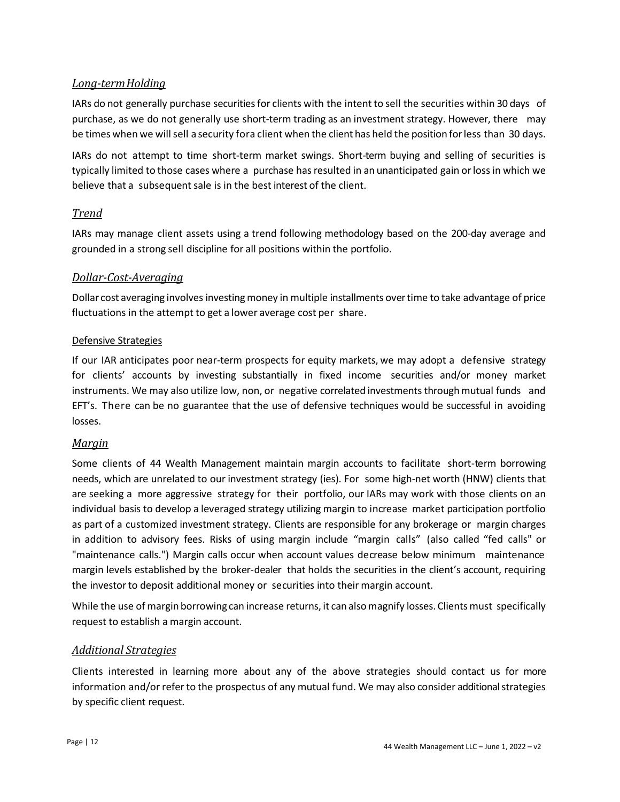#### *Long-termHolding*

IARs do not generally purchase securities for clients with the intent to sell the securities within 30 days of purchase, as we do not generally use short-term trading as an investment strategy. However, there may be times when we will sell a security fora client when the client has held the position for less than 30 days.

IARs do not attempt to time short-term market swings. Short-term buying and selling of securities is typically limited to those cases where a purchase has resulted in an unanticipated gain or loss in which we believe that a subsequent sale is in the best interest of the client.

#### *Trend*

IARs may manage client assets using a trend following methodology based on the 200-day average and grounded in a strong sell discipline for all positions within the portfolio.

#### *Dollar-Cost-Averaging*

Dollar cost averaging involves investing money in multiple installments over time to take advantage of price fluctuations in the attempt to get a lower average cost per share.

#### Defensive Strategies

If our IAR anticipates poor near-term prospects for equity markets, we may adopt a defensive strategy for clients' accounts by investing substantially in fixed income securities and/or money market instruments. We may also utilize low, non, or negative correlated investments through mutual funds and EFT's. There can be no guarantee that the use of defensive techniques would be successful in avoiding losses.

#### *Margin*

Some clients of 44 Wealth Management maintain margin accounts to facilitate short-term borrowing needs, which are unrelated to our investment strategy (ies). For some high-net worth (HNW) clients that are seeking a more aggressive strategy for their portfolio, our IARs may work with those clients on an individual basis to develop a leveraged strategy utilizing margin to increase market participation portfolio as part of a customized investment strategy. Clients are responsible for any brokerage or margin charges in addition to advisory fees. Risks of using margin include "margin calls" (also called "fed calls" or "maintenance calls.") Margin calls occur when account values decrease below minimum maintenance margin levels established by the broker-dealer that holds the securities in the client's account, requiring the investor to deposit additional money or securities into their margin account.

While the use of margin borrowing can increase returns, it can also magnify losses. Clients must specifically request to establish a margin account.

#### *Additional Strategies*

Clients interested in learning more about any of the above strategies should contact us for more information and/or referto the prospectus of any mutual fund. We may also consider additionalstrategies by specific client request.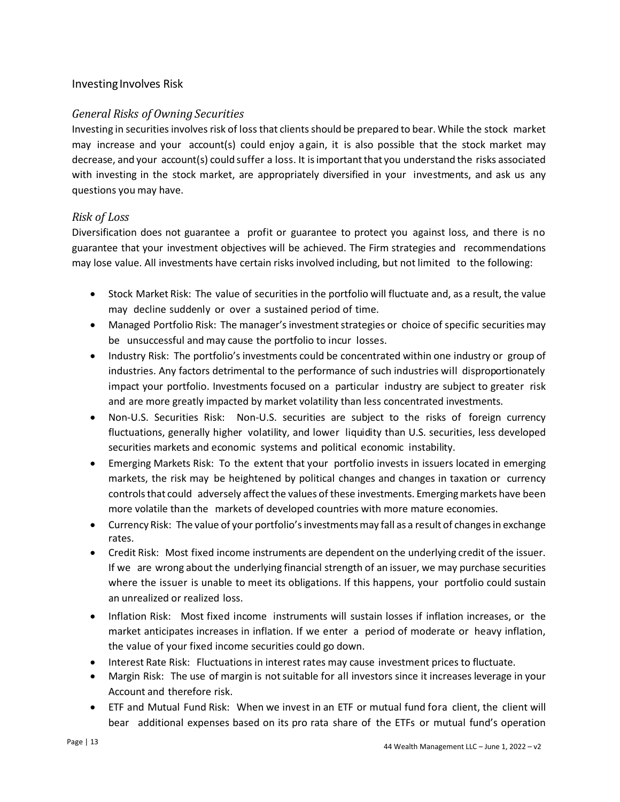#### Investing Involves Risk

#### *General Risks of Owning Securities*

Investing in securities involves risk of loss that clients should be prepared to bear. While the stock market may increase and your account(s) could enjoy again, it is also possible that the stock market may decrease, and your account(s) could suffer a loss. It isimportantthat you understand the risks associated with investing in the stock market, are appropriately diversified in your investments, and ask us any questions you may have.

#### *Risk of Loss*

Diversification does not guarantee a profit or guarantee to protect you against loss, and there is no guarantee that your investment objectives will be achieved. The Firm strategies and recommendations may lose value. All investments have certain risks involved including, but not limited to the following:

- Stock Market Risk: The value of securities in the portfolio will fluctuate and, as a result, the value may decline suddenly or over a sustained period of time.
- Managed Portfolio Risk: The manager's investment strategies or choice of specific securities may be unsuccessful and may cause the portfolio to incur losses.
- Industry Risk: The portfolio's investments could be concentrated within one industry or group of industries. Any factors detrimental to the performance of such industries will disproportionately impact your portfolio. Investments focused on a particular industry are subject to greater risk and are more greatly impacted by market volatility than less concentrated investments.
- Non-U.S. Securities Risk: Non-U.S. securities are subject to the risks of foreign currency fluctuations, generally higher volatility, and lower liquidity than U.S. securities, less developed securities markets and economic systems and political economic instability.
- Emerging Markets Risk: To the extent that your portfolio invests in issuers located in emerging markets, the risk may be heightened by political changes and changes in taxation or currency controls that could adversely affect the values of these investments. Emerging markets have been more volatile than the markets of developed countries with more mature economies.
- Currency Risk: The value of your portfolio's investments may fall as a result of changes in exchange rates.
- Credit Risk: Most fixed income instruments are dependent on the underlying credit of the issuer. If we are wrong about the underlying financial strength of an issuer, we may purchase securities where the issuer is unable to meet its obligations. If this happens, your portfolio could sustain an unrealized or realized loss.
- Inflation Risk: Most fixed income instruments will sustain losses if inflation increases, or the market anticipates increases in inflation. If we enter a period of moderate or heavy inflation, the value of your fixed income securities could go down.
- Interest Rate Risk: Fluctuations in interest rates may cause investment prices to fluctuate.
- Margin Risk: The use of margin is not suitable for all investors since it increases leverage in your Account and therefore risk.
- ETF and Mutual Fund Risk: When we invest in an ETF or mutual fund fora client, the client will bear additional expenses based on its pro rata share of the ETFs or mutual fund's operation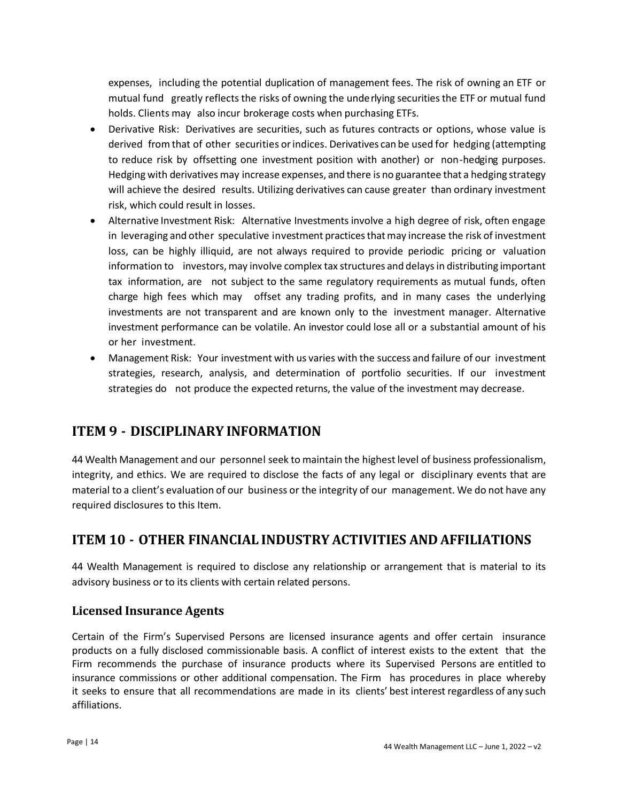expenses, including the potential duplication of management fees. The risk of owning an ETF or mutual fund greatly reflects the risks of owning the underlying securitiesthe ETF or mutual fund holds. Clients may also incur brokerage costs when purchasing ETFs.

- Derivative Risk: Derivatives are securities, such as futures contracts or options, whose value is derived from that of other securities or indices. Derivatives can be used for hedging (attempting to reduce risk by offsetting one investment position with another) or non-hedging purposes. Hedging with derivatives may increase expenses, and there is no guarantee that a hedging strategy will achieve the desired results. Utilizing derivatives can cause greater than ordinary investment risk, which could result in losses.
- Alternative Investment Risk: Alternative Investments involve a high degree of risk, often engage in leveraging and other speculative investment practices thatmay increase the risk of investment loss, can be highly illiquid, are not always required to provide periodic pricing or valuation information to investors, may involve complex tax structures and delays in distributing important tax information, are not subject to the same regulatory requirements as mutual funds, often charge high fees which may offset any trading profits, and in many cases the underlying investments are not transparent and are known only to the investment manager. Alternative investment performance can be volatile. An investor could lose all or a substantial amount of his or her investment.
- Management Risk: Your investment with us varies with the success and failure of our investment strategies, research, analysis, and determination of portfolio securities. If our investment strategies do not produce the expected returns, the value of the investment may decrease.

## <span id="page-13-0"></span>**ITEM 9 - DISCIPLINARY INFORMATION**

44 Wealth Management and our personnel seek to maintain the highest level of business professionalism, integrity, and ethics. We are required to disclose the facts of any legal or disciplinary events that are material to a client's evaluation of our business or the integrity of our management. We do not have any required disclosures to this Item.

## <span id="page-13-1"></span>**ITEM 10 - OTHER FINANCIAL INDUSTRY ACTIVITIES AND AFFILIATIONS**

44 Wealth Management is required to disclose any relationship or arrangement that is material to its advisory business or to its clients with certain related persons.

#### **Licensed Insurance Agents**

Certain of the Firm's Supervised Persons are licensed insurance agents and offer certain insurance products on a fully disclosed commissionable basis. A conflict of interest exists to the extent that the Firm recommends the purchase of insurance products where its Supervised Persons are entitled to insurance commissions or other additional compensation. The Firm has procedures in place whereby it seeks to ensure that all recommendations are made in its clients' best interest regardless of any such affiliations.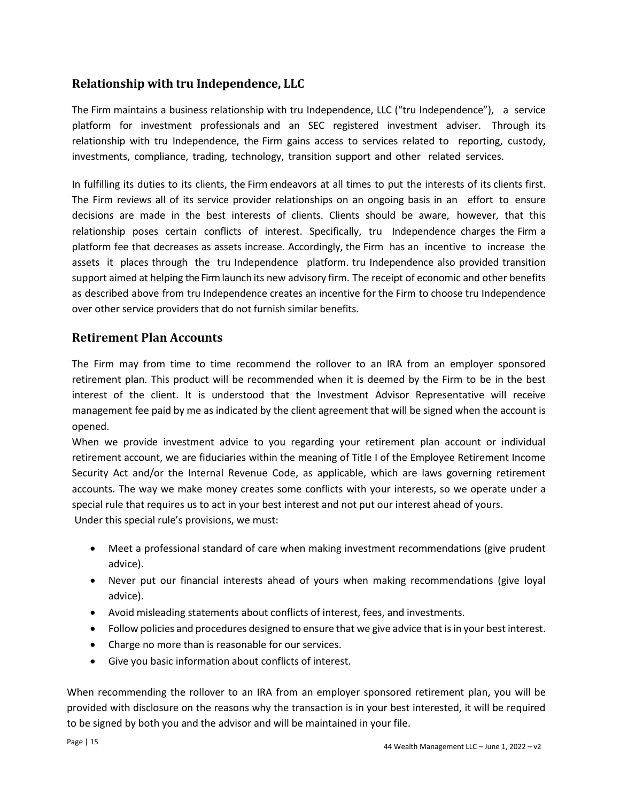#### <span id="page-14-0"></span>**Relationship with tru Independence, LLC**

The Firm maintains a business relationship with tru Independence, LLC ("tru Independence"), a service platform for investment professionals and an SEC registered investment adviser. Through its relationship with tru Independence, the Firm gains access to services related to reporting, custody, investments, compliance, trading, technology, transition support and other related services.

In fulfilling its duties to its clients, the Firm endeavors at all times to put the interests of its clients first. The Firm reviews all of its service provider relationships on an ongoing basis in an effort to ensure decisions are made in the best interests of clients. Clients should be aware, however, that this relationship poses certain conflicts of interest. Specifically, tru Independence charges the Firm a platform fee that decreases as assets increase. Accordingly, the Firm has an incentive to increase the assets it places through the tru Independence platform. tru Independence also provided transition support aimed at helping the Firmlaunch its new advisory firm. The receipt of economic and other benefits as described above from tru Independence creates an incentive for the Firm to choose tru Independence over other service providers that do not furnish similar benefits.

#### **Retirement Plan Accounts**

The Firm may from time to time recommend the rollover to an IRA from an employer sponsored retirement plan. This product will be recommended when it is deemed by the Firm to be in the best interest of the client. It is understood that the Investment Advisor Representative will receive management fee paid by me as indicated by the client agreement that will be signed when the account is opened.

When we provide investment advice to you regarding your retirement plan account or individual retirement account, we are fiduciaries within the meaning of Title I of the Employee Retirement Income Security Act and/or the Internal Revenue Code, as applicable, which are laws governing retirement accounts. The way we make money creates some conflicts with your interests, so we operate under a special rule that requires us to act in your best interest and not put our interest ahead of yours. Under this special rule's provisions, we must:

- Meet a professional standard of care when making investment recommendations (give prudent advice).
- Never put our financial interests ahead of yours when making recommendations (give loyal advice).
- Avoid misleading statements about conflicts of interest, fees, and investments.
- Follow policies and procedures designed to ensure that we give advice that is in your best interest.
- Charge no more than is reasonable for our services.
- Give you basic information about conflicts of interest.

When recommending the rollover to an IRA from an employer sponsored retirement plan, you will be provided with disclosure on the reasons why the transaction is in your best interested, it will be required to be signed by both you and the advisor and will be maintained in your file.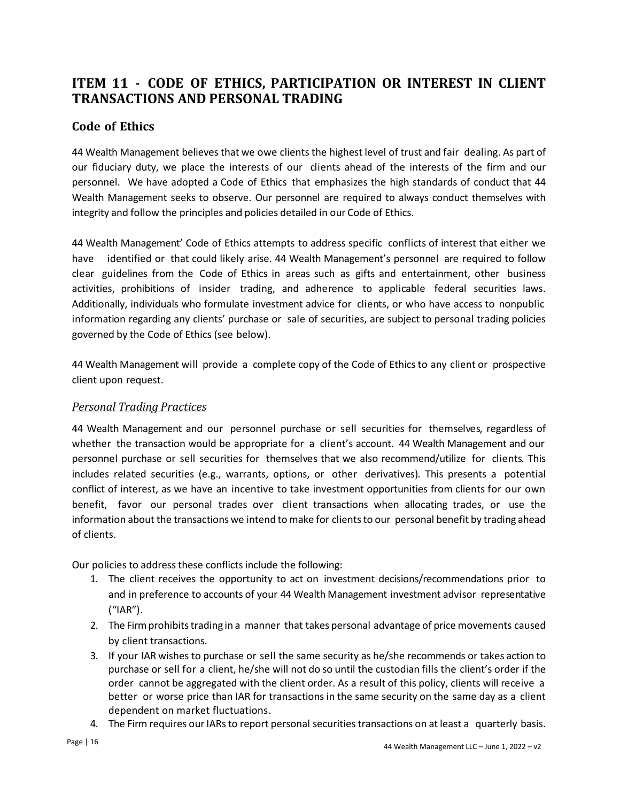## **ITEM 11 - CODE OF ETHICS, PARTICIPATION OR INTEREST IN CLIENT TRANSACTIONS AND PERSONAL TRADING**

#### **Code of Ethics**

44 Wealth Management believes that we owe clients the highest level of trust and fair dealing. As part of our fiduciary duty, we place the interests of our clients ahead of the interests of the firm and our personnel. We have adopted a Code of Ethics that emphasizes the high standards of conduct that 44 Wealth Management seeks to observe. Our personnel are required to always conduct themselves with integrity and follow the principles and policies detailed in our Code of Ethics.

44 Wealth Management' Code of Ethics attempts to address specific conflicts of interest that either we have identified or that could likely arise. 44 Wealth Management's personnel are required to follow clear guidelines from the Code of Ethics in areas such as gifts and entertainment, other business activities, prohibitions of insider trading, and adherence to applicable federal securities laws. Additionally, individuals who formulate investment advice for clients, or who have access to nonpublic information regarding any clients' purchase or sale of securities, are subject to personal trading policies governed by the Code of Ethics (see below).

44 Wealth Management will provide a complete copy of the Code of Ethics to any client or prospective client upon request.

#### *Personal Trading Practices*

44 Wealth Management and our personnel purchase or sell securities for themselves, regardless of whether the transaction would be appropriate for a client's account. 44 Wealth Management and our personnel purchase or sell securities for themselves that we also recommend/utilize for clients. This includes related securities (e.g., warrants, options, or other derivatives). This presents a potential conflict of interest, as we have an incentive to take investment opportunities from clients for our own benefit, favor our personal trades over client transactions when allocating trades, or use the information about the transactions we intend to make for clientsto our personal benefit by trading ahead of clients.

Our policies to address these conflicts include the following:

- 1. The client receives the opportunity to act on investment decisions/recommendations prior to and in preference to accounts of your 44 Wealth Management investment advisor representative ("IAR").
- 2. The Firm prohibits trading in a manner that takes personal advantage of price movements caused by client transactions.
- 3. If your IAR wishes to purchase or sell the same security as he/she recommends or takes action to purchase or sell for a client, he/she will not do so until the custodian fills the client's order if the order cannot be aggregated with the client order. As a result of this policy, clients will receive a better or worse price than IAR for transactions in the same security on the same day as a client dependent on market fluctuations.
- 4. The Firm requires our IARs to report personal securities transactions on at least a quarterly basis.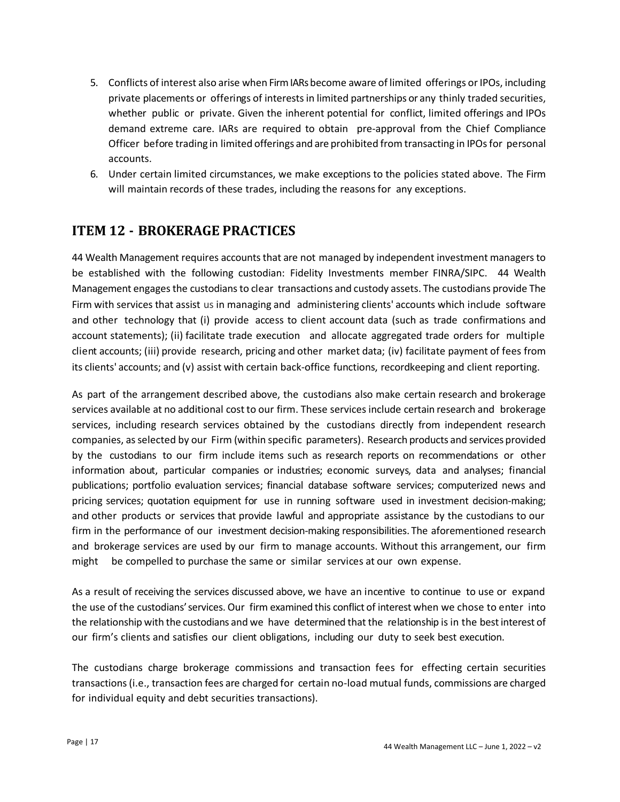- 5. Conflicts of interest also arise when Firm IARs become aware of limited offerings or IPOs, including private placements or offerings of interestsin limited partnerships or any thinly traded securities, whether public or private. Given the inherent potential for conflict, limited offerings and IPOs demand extreme care. IARs are required to obtain pre-approval from the Chief Compliance Officer before trading in limited offerings and are prohibited from transacting in IPOsfor personal accounts.
- 6. Under certain limited circumstances, we make exceptions to the policies stated above. The Firm will maintain records of these trades, including the reasons for any exceptions.

## <span id="page-16-0"></span>**ITEM 12 - BROKERAGE PRACTICES**

44 Wealth Management requires accounts that are not managed by independent investment managers to be established with the following custodian: Fidelity Investments member FINRA/SIPC. 44 Wealth Management engages the custodians to clear transactions and custody assets. The custodians provide The Firm with services that assist us in managing and administering clients' accounts which include software and other technology that (i) provide access to client account data (such as trade confirmations and account statements); (ii) facilitate trade execution and allocate aggregated trade orders for multiple client accounts; (iii) provide research, pricing and other market data; (iv) facilitate payment of fees from its clients' accounts; and (v) assist with certain back-office functions, recordkeeping and client reporting.

As part of the arrangement described above, the custodians also make certain research and brokerage services available at no additional cost to our firm. These services include certain research and brokerage services, including research services obtained by the custodians directly from independent research companies, asselected by our Firm (within specific parameters). Research products and services provided by the custodians to our firm include items such as research reports on recommendations or other information about, particular companies or industries; economic surveys, data and analyses; financial publications; portfolio evaluation services; financial database software services; computerized news and pricing services; quotation equipment for use in running software used in investment decision-making; and other products or services that provide lawful and appropriate assistance by the custodians to our firm in the performance of our investment decision-making responsibilities. The aforementioned research and brokerage services are used by our firm to manage accounts. Without this arrangement, our firm might be compelled to purchase the same or similar services at our own expense.

As a result of receiving the services discussed above, we have an incentive to continue to use or expand the use of the custodians' services. Our firm examined this conflict of interest when we chose to enter into the relationship with the custodians and we have determined that the relationship is in the bestinterest of our firm's clients and satisfies our client obligations, including our duty to seek best execution.

The custodians charge brokerage commissions and transaction fees for effecting certain securities transactions(i.e., transaction fees are charged for certain no-load mutual funds, commissions are charged for individual equity and debt securities transactions).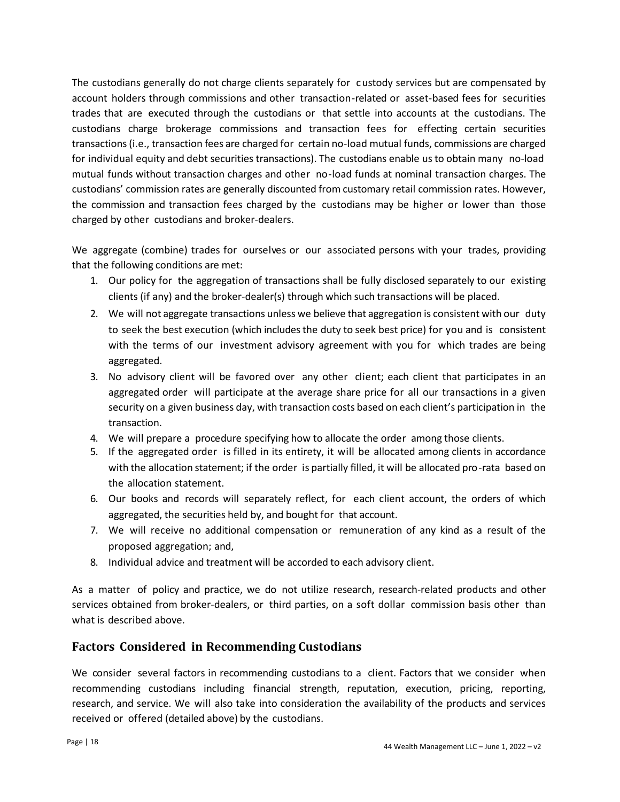The custodians generally do not charge clients separately for custody services but are compensated by account holders through commissions and other transaction-related or asset-based fees for securities trades that are executed through the custodians or that settle into accounts at the custodians. The custodians charge brokerage commissions and transaction fees for effecting certain securities transactions(i.e., transaction fees are charged for certain no-load mutual funds, commissions are charged for individual equity and debt securities transactions). The custodians enable us to obtain many no-load mutual funds without transaction charges and other no-load funds at nominal transaction charges. The custodians' commission rates are generally discounted from customary retail commission rates. However, the commission and transaction fees charged by the custodians may be higher or lower than those charged by other custodians and broker-dealers.

We aggregate (combine) trades for ourselves or our associated persons with your trades, providing that the following conditions are met:

- 1. Our policy for the aggregation of transactions shall be fully disclosed separately to our existing clients (if any) and the broker-dealer(s) through which such transactions will be placed.
- 2. We will not aggregate transactions unless we believe that aggregation is consistent with our duty to seek the best execution (which includes the duty to seek best price) for you and is consistent with the terms of our investment advisory agreement with you for which trades are being aggregated.
- 3. No advisory client will be favored over any other client; each client that participates in an aggregated order will participate at the average share price for all our transactions in a given security on a given business day, with transaction costs based on each client's participation in the transaction.
- 4. We will prepare a procedure specifying how to allocate the order among those clients.
- 5. If the aggregated order is filled in its entirety, it will be allocated among clients in accordance with the allocation statement; if the order is partially filled, it will be allocated pro-rata based on the allocation statement.
- 6. Our books and records will separately reflect, for each client account, the orders of which aggregated, the securities held by, and bought for that account.
- 7. We will receive no additional compensation or remuneration of any kind as a result of the proposed aggregation; and,
- 8. Individual advice and treatment will be accorded to each advisory client.

As a matter of policy and practice, we do not utilize research, research-related products and other services obtained from broker-dealers, or third parties, on a soft dollar commission basis other than what is described above.

#### **Factors Considered in Recommending Custodians**

We consider several factors in recommending custodians to a client. Factors that we consider when recommending custodians including financial strength, reputation, execution, pricing, reporting, research, and service. We will also take into consideration the availability of the products and services received or offered (detailed above) by the custodians.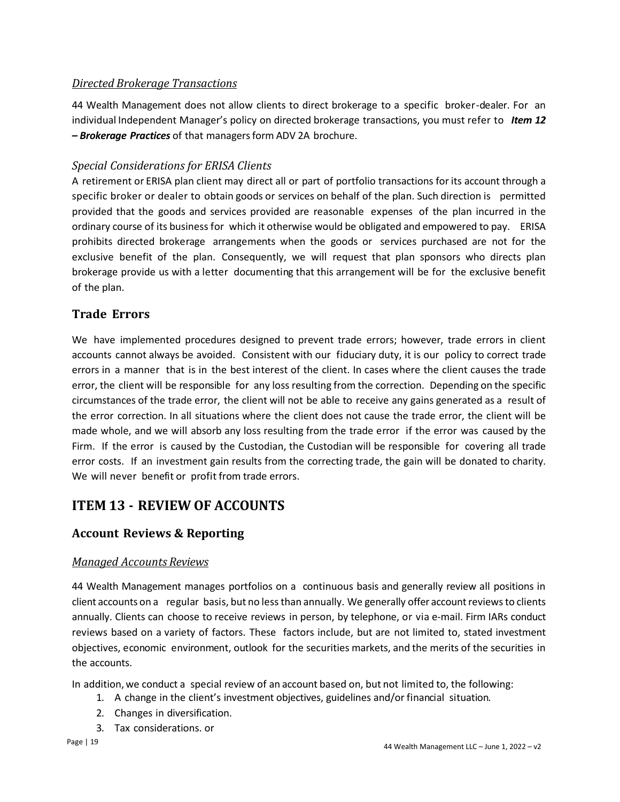#### *Directed Brokerage Transactions*

44 Wealth Management does not allow clients to direct brokerage to a specific broker-dealer. For an individual Independent Manager's policy on directed brokerage transactions, you must refer to *Item 12 – Brokerage Practices* of that managersform ADV 2A brochure.

#### *Special Considerations for ERISA Clients*

A retirement or ERISA plan client may direct all or part of portfolio transactions for its account through a specific broker or dealer to obtain goods or services on behalf of the plan. Such direction is permitted provided that the goods and services provided are reasonable expenses of the plan incurred in the ordinary course of its business for which it otherwise would be obligated and empowered to pay. ERISA prohibits directed brokerage arrangements when the goods or services purchased are not for the exclusive benefit of the plan. Consequently, we will request that plan sponsors who directs plan brokerage provide us with a letter documenting that this arrangement will be for the exclusive benefit of the plan.

#### **Trade Errors**

We have implemented procedures designed to prevent trade errors; however, trade errors in client accounts cannot always be avoided. Consistent with our fiduciary duty, it is our policy to correct trade errors in a manner that is in the best interest of the client. In cases where the client causes the trade error, the client will be responsible for any loss resulting from the correction. Depending on the specific circumstances of the trade error, the client will not be able to receive any gains generated as a result of the error correction. In all situations where the client does not cause the trade error, the client will be made whole, and we will absorb any loss resulting from the trade error if the error was caused by the Firm. If the error is caused by the Custodian, the Custodian will be responsible for covering all trade error costs. If an investment gain results from the correcting trade, the gain will be donated to charity. We will never benefit or profit from trade errors.

## <span id="page-18-0"></span>**ITEM 13 - REVIEW OF ACCOUNTS**

#### **Account Reviews & Reporting**

#### *Managed Accounts Reviews*

44 Wealth Management manages portfolios on a continuous basis and generally review all positions in client accounts on a regular basis, but no less than annually. We generally offer account reviews to clients annually. Clients can choose to receive reviews in person, by telephone, or via e-mail. Firm IARs conduct reviews based on a variety of factors. These factors include, but are not limited to, stated investment objectives, economic environment, outlook for the securities markets, and the merits of the securities in the accounts.

In addition,we conduct a special review of an account based on, but not limited to, the following:

- 1. A change in the client's investment objectives, guidelines and/or financial situation.
- 2. Changes in diversification.
- 3. Tax considerations. or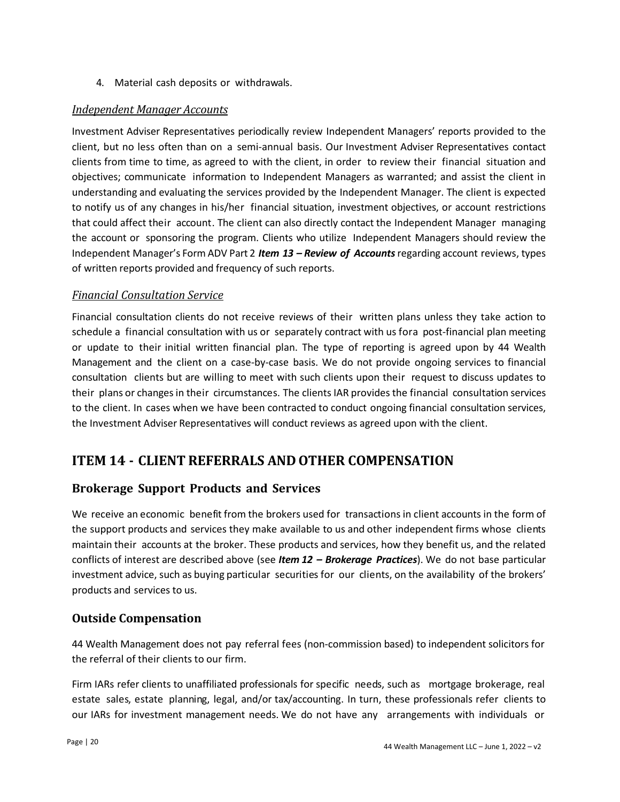4. Material cash deposits or withdrawals.

#### *Independent Manager Accounts*

Investment Adviser Representatives periodically review Independent Managers' reports provided to the client, but no less often than on a semi-annual basis. Our Investment Adviser Representatives contact clients from time to time, as agreed to with the client, in order to review their financial situation and objectives; communicate information to Independent Managers as warranted; and assist the client in understanding and evaluating the services provided by the Independent Manager. The client is expected to notify us of any changes in his/her financial situation, investment objectives, or account restrictions that could affect their account. The client can also directly contact the Independent Manager managing the account or sponsoring the program. Clients who utilize Independent Managers should review the Independent Manager's Form ADV Part 2 *Item 13 – Review of Accounts*regarding account reviews, types of written reports provided and frequency of such reports.

#### *Financial Consultation Service*

Financial consultation clients do not receive reviews of their written plans unless they take action to schedule a financial consultation with us or separately contract with us fora post-financial plan meeting or update to their initial written financial plan. The type of reporting is agreed upon by 44 Wealth Management and the client on a case-by-case basis. We do not provide ongoing services to financial consultation clients but are willing to meet with such clients upon their request to discuss updates to their plans or changes in their circumstances. The clients IAR provides the financial consultation services to the client. In cases when we have been contracted to conduct ongoing financial consultation services, the Investment Adviser Representatives will conduct reviews as agreed upon with the client.

## <span id="page-19-0"></span>**ITEM 14 - CLIENT REFERRALS AND OTHER COMPENSATION**

#### **Brokerage Support Products and Services**

We receive an economic benefit from the brokers used for transactions in client accounts in the form of the support products and services they make available to us and other independent firms whose clients maintain their accounts at the broker. These products and services, how they benefit us, and the related conflicts of interest are described above (see *Item 12 – Brokerage Practices*). We do not base particular investment advice, such as buying particular securities for our clients, on the availability of the brokers' products and services to us.

#### **Outside Compensation**

44 Wealth Management does not pay referral fees (non-commission based) to independent solicitors for the referral of their clients to our firm.

Firm IARs refer clients to unaffiliated professionals for specific needs, such as mortgage brokerage, real estate sales, estate planning, legal, and/or tax/accounting. In turn, these professionals refer clients to our IARs for investment management needs. We do not have any arrangements with individuals or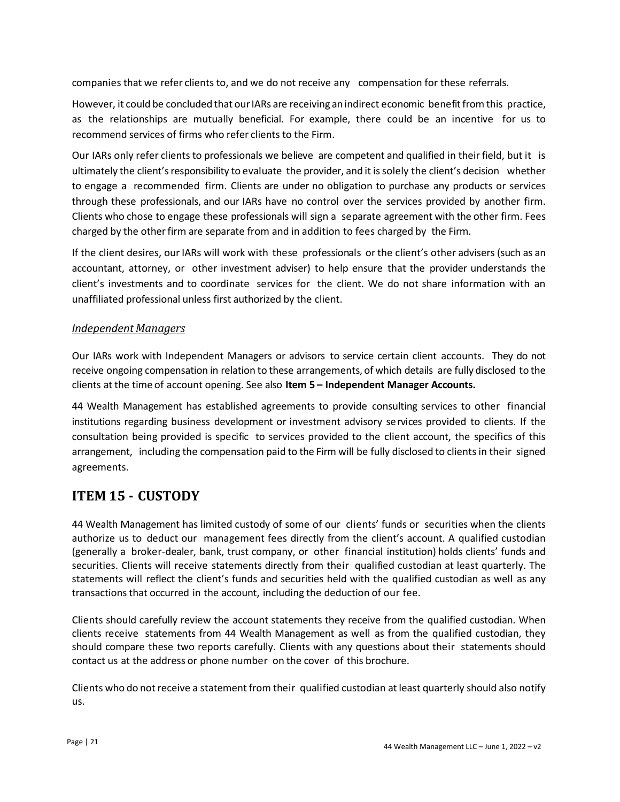companies that we refer clients to, and we do not receive any compensation for these referrals.

However, it could be concluded that our IARs are receiving an indirect economic benefit from this practice, as the relationships are mutually beneficial. For example, there could be an incentive for us to recommend services of firms who refer clients to the Firm.

Our IARs only refer clients to professionals we believe are competent and qualified in their field, but it is ultimately the client'sresponsibility to evaluate the provider, and it issolely the client's decision whether to engage a recommended firm. Clients are under no obligation to purchase any products or services through these professionals, and our IARs have no control over the services provided by another firm. Clients who chose to engage these professionals will sign a separate agreement with the other firm. Fees charged by the otherfirm are separate from and in addition to fees charged by the Firm.

If the client desires, our IARs will work with these professionals or the client's other advisers (such as an accountant, attorney, or other investment adviser) to help ensure that the provider understands the client's investments and to coordinate services for the client. We do not share information with an unaffiliated professional unless first authorized by the client.

#### *IndependentManagers*

Our IARs work with Independent Managers or advisors to service certain client accounts. They do not receive ongoing compensation in relation to these arrangements, of which details are fully disclosed to the clients at the time of account opening. See also **Item 5 – Independent Manager Accounts.**

44 Wealth Management has established agreements to provide consulting services to other financial institutions regarding business development or investment advisory services provided to clients. If the consultation being provided is specific to services provided to the client account, the specifics of this arrangement, including the compensation paid to the Firm will be fully disclosed to clientsin their signed agreements.

## <span id="page-20-0"></span>**ITEM 15 - CUSTODY**

44 Wealth Management has limited custody of some of our clients' funds or securities when the clients authorize us to deduct our management fees directly from the client's account. A qualified custodian (generally a broker-dealer, bank, trust company, or other financial institution) holds clients' funds and securities. Clients will receive statements directly from their qualified custodian at least quarterly. The statements will reflect the client's funds and securities held with the qualified custodian as well as any transactionsthat occurred in the account, including the deduction of our fee.

Clients should carefully review the account statements they receive from the qualified custodian. When clients receive statements from 44 Wealth Management as well as from the qualified custodian, they should compare these two reports carefully. Clients with any questions about their statements should contact us at the address or phone number on the cover of this brochure.

Clients who do notreceive a statement from their qualified custodian at least quarterly should also notify us.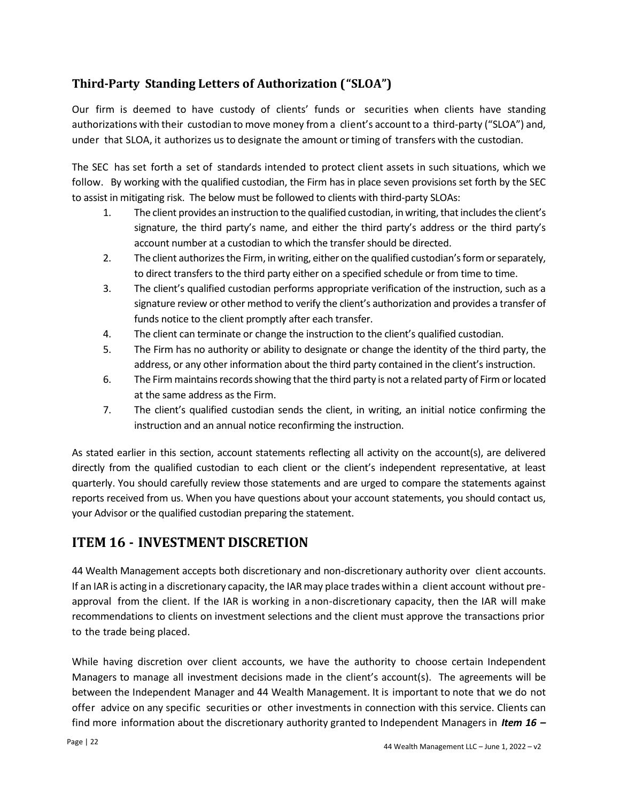## **Third-Party Standing Letters of Authorization ("SLOA")**

Our firm is deemed to have custody of clients' funds or securities when clients have standing authorizations with their custodian to move money from a client's account to a third-party ("SLOA") and, under that SLOA, it authorizes us to designate the amount ortiming of transfers with the custodian.

The SEC has set forth a set of standards intended to protect client assets in such situations, which we follow. By working with the qualified custodian, the Firm has in place seven provisions set forth by the SEC to assist in mitigating risk. The below must be followed to clients with third-party SLOAs:

- 1. The client provides an instruction to the qualified custodian, in writing, that includes the client's signature, the third party's name, and either the third party's address or the third party's account number at a custodian to which the transfer should be directed.
- 2. The client authorizes the Firm, in writing, either on the qualified custodian's form or separately, to direct transfers to the third party either on a specified schedule or from time to time.
- 3. The client's qualified custodian performs appropriate verification of the instruction, such as a signature review or other method to verify the client's authorization and provides a transfer of funds notice to the client promptly after each transfer.
- 4. The client can terminate or change the instruction to the client's qualified custodian.
- 5. The Firm has no authority or ability to designate or change the identity of the third party, the address, or any other information about the third party contained in the client's instruction.
- 6. The Firm maintains records showing that the third party is not a related party of Firm or located at the same address as the Firm.
- 7. The client's qualified custodian sends the client, in writing, an initial notice confirming the instruction and an annual notice reconfirming the instruction.

As stated earlier in this section, account statements reflecting all activity on the account(s), are delivered directly from the qualified custodian to each client or the client's independent representative, at least quarterly. You should carefully review those statements and are urged to compare the statements against reports received from us. When you have questions about your account statements, you should contact us, your Advisor or the qualified custodian preparing the statement.

## <span id="page-21-0"></span>**ITEM 16 - INVESTMENT DISCRETION**

44 Wealth Management accepts both discretionary and non-discretionary authority over client accounts. If an IAR is acting in a discretionary capacity, the IARmay place trades within a client account without preapproval from the client. If the IAR is working in anon-discretionary capacity, then the IAR will make recommendations to clients on investment selections and the client must approve the transactions prior to the trade being placed.

While having discretion over client accounts, we have the authority to choose certain Independent Managers to manage all investment decisions made in the client's account(s). The agreements will be between the Independent Manager and 44 Wealth Management. It is important to note that we do not offer advice on any specific securities or other investments in connection with this service. Clients can find more information about the discretionary authority granted to Independent Managers in *Item 16 –*